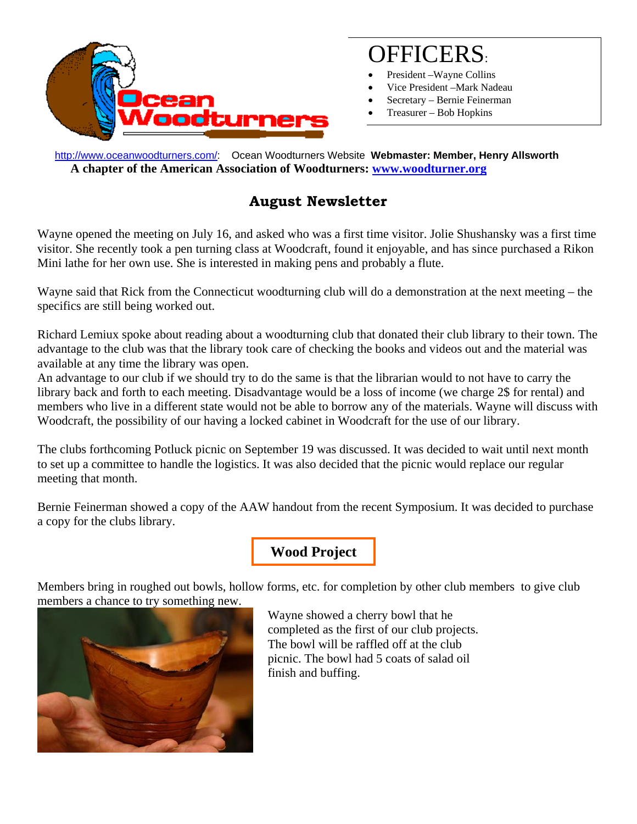

# OFFICERS:

- President Wayne Collins
- Vice President –Mark Nadeau
- Secretary Bernie Feinerman
- Treasurer Bob Hopkins

 http://www.oceanwoodturners.com/: Ocean Woodturners Website **Webmaster: Member, Henry Allsworth A chapter of the American Association of Woodturners: www.woodturner.org** 

## **August Newsletter**

Wayne opened the meeting on July 16, and asked who was a first time visitor. Jolie Shushansky was a first time visitor. She recently took a pen turning class at Woodcraft, found it enjoyable, and has since purchased a Rikon Mini lathe for her own use. She is interested in making pens and probably a flute.

Wayne said that Rick from the Connecticut woodturning club will do a demonstration at the next meeting – the specifics are still being worked out.

Richard Lemiux spoke about reading about a woodturning club that donated their club library to their town. The advantage to the club was that the library took care of checking the books and videos out and the material was available at any time the library was open.

An advantage to our club if we should try to do the same is that the librarian would to not have to carry the library back and forth to each meeting. Disadvantage would be a loss of income (we charge 2\$ for rental) and members who live in a different state would not be able to borrow any of the materials. Wayne will discuss with Woodcraft, the possibility of our having a locked cabinet in Woodcraft for the use of our library.

The clubs forthcoming Potluck picnic on September 19 was discussed. It was decided to wait until next month to set up a committee to handle the logistics. It was also decided that the picnic would replace our regular meeting that month.

Bernie Feinerman showed a copy of the AAW handout from the recent Symposium. It was decided to purchase a copy for the clubs library.

## **Wood Project**

Members bring in roughed out bowls, hollow forms, etc. for completion by other club members to give club members a chance to try something new.



Wayne showed a cherry bowl that he completed as the first of our club projects. The bowl will be raffled off at the club picnic. The bowl had 5 coats of salad oil finish and buffing.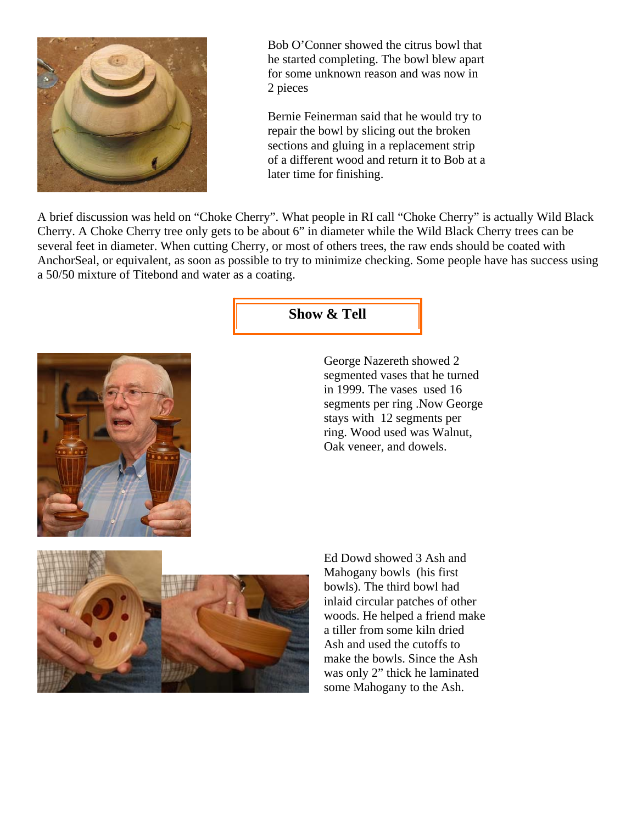

Bob O'Conner showed the citrus bowl that he started completing. The bowl blew apart for some unknown reason and was now in 2 pieces

Bernie Feinerman said that he would try to repair the bowl by slicing out the broken sections and gluing in a replacement strip of a different wood and return it to Bob at a later time for finishing.

A brief discussion was held on "Choke Cherry". What people in RI call "Choke Cherry" is actually Wild Black Cherry. A Choke Cherry tree only gets to be about 6" in diameter while the Wild Black Cherry trees can be several feet in diameter. When cutting Cherry, or most of others trees, the raw ends should be coated with AnchorSeal, or equivalent, as soon as possible to try to minimize checking. Some people have has success using a 50/50 mixture of Titebond and water as a coating.



**Show & Tell** 

George Nazereth showed 2 segmented vases that he turned in 1999. The vases used 16 segments per ring .Now George stays with 12 segments per ring. Wood used was Walnut, Oak veneer, and dowels.



Ed Dowd showed 3 Ash and Mahogany bowls (his first bowls). The third bowl had inlaid circular patches of other woods. He helped a friend make a tiller from some kiln dried Ash and used the cutoffs to make the bowls. Since the Ash was only 2" thick he laminated some Mahogany to the Ash.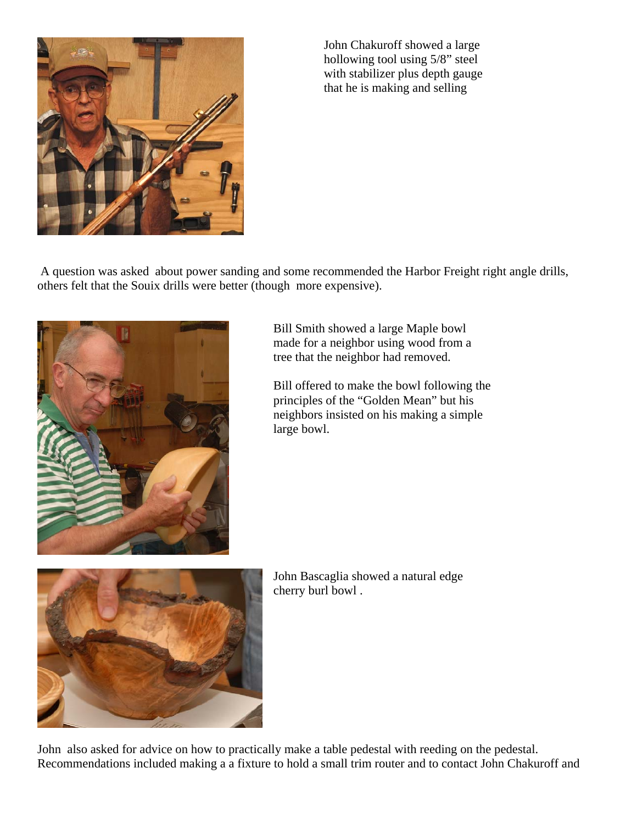

John Chakuroff showed a large hollowing tool using 5/8" steel with stabilizer plus depth gauge that he is making and selling

 A question was asked about power sanding and some recommended the Harbor Freight right angle drills, others felt that the Souix drills were better (though more expensive).



Bill Smith showed a large Maple bowl made for a neighbor using wood from a tree that the neighbor had removed.

Bill offered to make the bowl following the principles of the "Golden Mean" but his neighbors insisted on his making a simple large bowl.



John Bascaglia showed a natural edge cherry burl bowl .

John also asked for advice on how to practically make a table pedestal with reeding on the pedestal. Recommendations included making a a fixture to hold a small trim router and to contact John Chakuroff and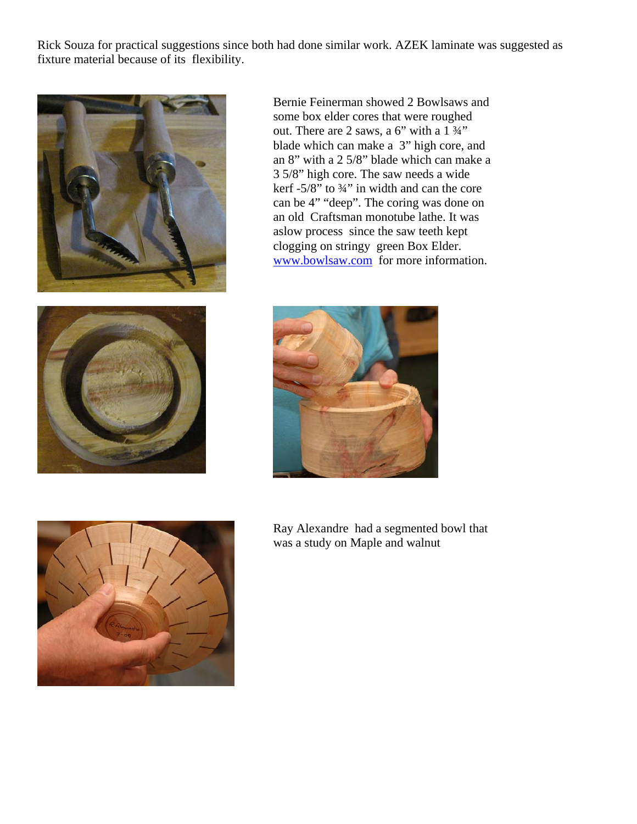Rick Souza for practical suggestions since both had done similar work. AZEK laminate was suggested as fixture material because of its flexibility.



Bernie Feinerman showed 2 Bowlsaws and some box elder cores that were roughed out. There are 2 saws, a 6" with a 1 ¾" blade which can make a 3" high core, and an 8" with a 2 5/8" blade which can make a 3 5/8" high core. The saw needs a wide kerf  $-5/8$ " to  $\frac{3}{4}$ " in width and can the core can be 4" "deep". The coring was done on an old Craftsman monotube lathe. It was aslow process since the saw teeth kept clogging on stringy green Box Elder. www.bowlsaw.com for more information.







Ray Alexandre had a segmented bowl that was a study on Maple and walnut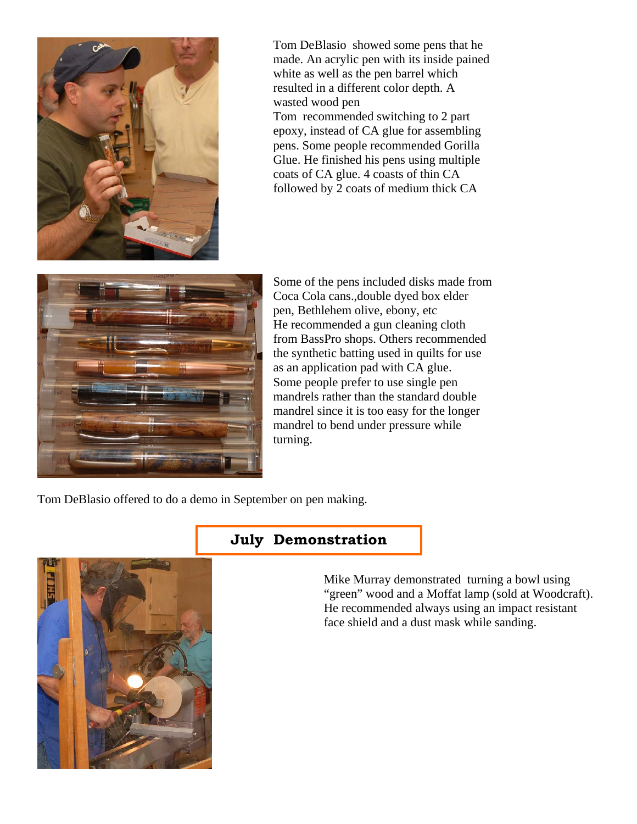

Tom DeBlasio showed some pens that he made. An acrylic pen with its inside pained white as well as the pen barrel which resulted in a different color depth. A wasted wood pen Tom recommended switching to 2 part epoxy, instead of CA glue for assembling pens. Some people recommended Gorilla Glue. He finished his pens using multiple coats of CA glue. 4 coasts of thin CA followed by 2 coats of medium thick CA



Some of the pens included disks made from Coca Cola cans.,double dyed box elder pen, Bethlehem olive, ebony, etc He recommended a gun cleaning cloth from BassPro shops. Others recommended the synthetic batting used in quilts for use as an application pad with CA glue. Some people prefer to use single pen mandrels rather than the standard double mandrel since it is too easy for the longer mandrel to bend under pressure while turning.

Tom DeBlasio offered to do a demo in September on pen making.

#### **July Demonstration**



Mike Murray demonstrated turning a bowl using "green" wood and a Moffat lamp (sold at Woodcraft). He recommended always using an impact resistant face shield and a dust mask while sanding.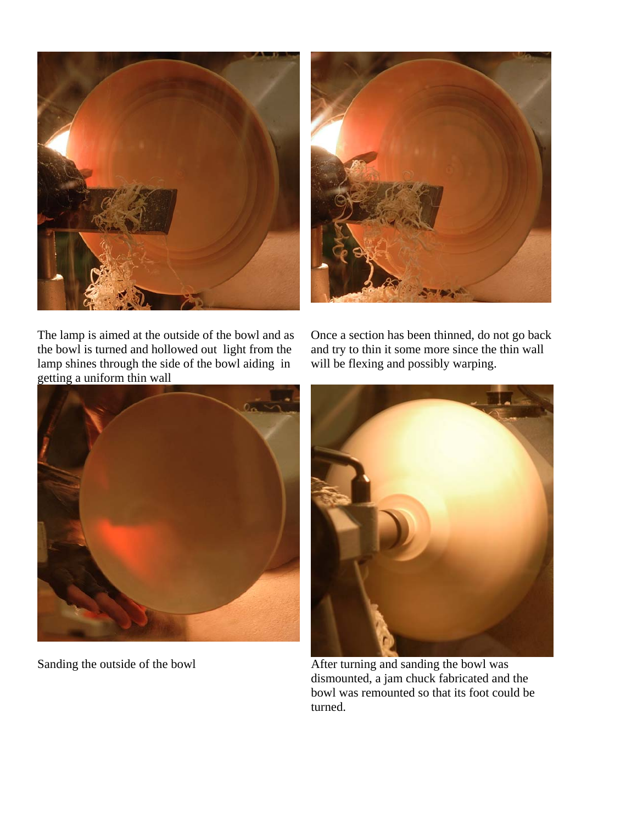



The lamp is aimed at the outside of the bowl and as the bowl is turned and hollowed out light from the lamp shines through the side of the bowl aiding in getting a uniform thin wall

Once a section has been thinned, do not go back and try to thin it some more since the thin wall will be flexing and possibly warping.





Sanding the outside of the bowl **After turning and sanding the bowl was** dismounted, a jam chuck fabricated and the bowl was remounted so that its foot could be turned.